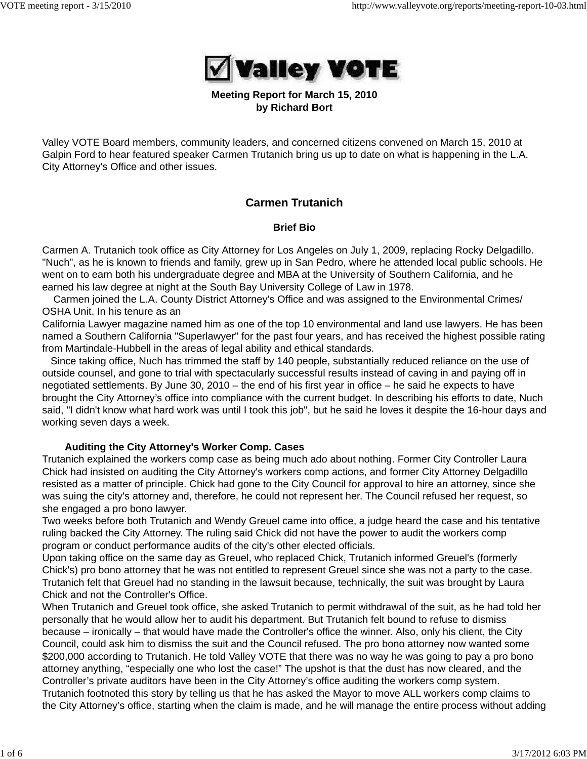

## **Meeting Report for March 15, 2010 by Richard Bort**

Valley VOTE Board members, community leaders, and concerned citizens convened on March 15, 2010 at Galpin Ford to hear featured speaker Carmen Trutanich bring us up to date on what is happening in the L.A. City Attorney's Office and other issues.

# **Carmen Trutanich**

## **Brief Bio**

Carmen A. Trutanich took office as City Attorney for Los Angeles on July 1, 2009, replacing Rocky Delgadillo. "Nuch", as he is known to friends and family, grew up in San Pedro, where he attended local public schools. He went on to earn both his undergraduate degree and MBA at the University of Southern California, and he earned his law degree at night at the South Bay University College of Law in 1978.

 Carmen joined the L.A. County District Attorney's Office and was assigned to the Environmental Crimes/ OSHA Unit. In his tenure as an

California Lawyer magazine named him as one of the top 10 environmental and land use lawyers. He has been named a Southern California "Superlawyer" for the past four years, and has received the highest possible rating from Martindale-Hubbell in the areas of legal ability and ethical standards.

 Since taking office, Nuch has trimmed the staff by 140 people, substantially reduced reliance on the use of outside counsel, and gone to trial with spectacularly successful results instead of caving in and paying off in negotiated settlements. By June 30, 2010 – the end of his first year in office – he said he expects to have brought the City Attorney's office into compliance with the current budget. In describing his efforts to date, Nuch said, "I didn't know what hard work was until I took this job", but he said he loves it despite the 16-hour days and working seven days a week.

# **Auditing the City Attorney's Worker Comp. Cases**

Trutanich explained the workers comp case as being much ado about nothing. Former City Controller Laura Chick had insisted on auditing the City Attorney's workers comp actions, and former City Attorney Delgadillo resisted as a matter of principle. Chick had gone to the City Council for approval to hire an attorney, since she was suing the city's attorney and, therefore, he could not represent her. The Council refused her request, so she engaged a pro bono lawyer.

Two weeks before both Trutanich and Wendy Greuel came into office, a judge heard the case and his tentative ruling backed the City Attorney. The ruling said Chick did not have the power to audit the workers comp program or conduct performance audits of the city's other elected officials.

Upon taking office on the same day as Greuel, who replaced Chick, Trutanich informed Greuel's (formerly Chick's) pro bono attorney that he was not entitled to represent Greuel since she was not a party to the case. Trutanich felt that Greuel had no standing in the lawsuit because, technically, the suit was brought by Laura Chick and not the Controller's Office.

When Trutanich and Greuel took office, she asked Trutanich to permit withdrawal of the suit, as he had told her personally that he would allow her to audit his department. But Trutanich felt bound to refuse to dismiss because – ironically – that would have made the Controller's office the winner. Also, only his client, the City Council, could ask him to dismiss the suit and the Council refused. The pro bono attorney now wanted some \$200,000 according to Trutanich. He told Valley VOTE that there was no way he was going to pay a pro bono attorney anything, "especially one who lost the case!" The upshot is that the dust has now cleared, and the Controller's private auditors have been in the City Attorney's office auditing the workers comp system. Trutanich footnoted this story by telling us that he has asked the Mayor to move ALL workers comp claims to the City Attorney's office, starting when the claim is made, and he will manage the entire process without adding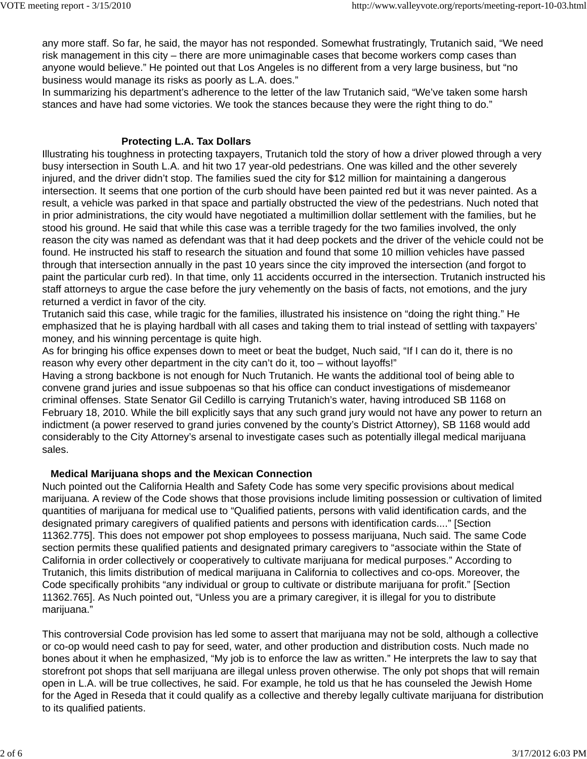any more staff. So far, he said, the mayor has not responded. Somewhat frustratingly, Trutanich said, "We need risk management in this city – there are more unimaginable cases that become workers comp cases than anyone would believe." He pointed out that Los Angeles is no different from a very large business, but "no business would manage its risks as poorly as L.A. does."

In summarizing his department's adherence to the letter of the law Trutanich said, "We've taken some harsh stances and have had some victories. We took the stances because they were the right thing to do."

### **Protecting L.A. Tax Dollars**

Illustrating his toughness in protecting taxpayers, Trutanich told the story of how a driver plowed through a very busy intersection in South L.A. and hit two 17 year-old pedestrians. One was killed and the other severely injured, and the driver didn't stop. The families sued the city for \$12 million for maintaining a dangerous intersection. It seems that one portion of the curb should have been painted red but it was never painted. As a result, a vehicle was parked in that space and partially obstructed the view of the pedestrians. Nuch noted that in prior administrations, the city would have negotiated a multimillion dollar settlement with the families, but he stood his ground. He said that while this case was a terrible tragedy for the two families involved, the only reason the city was named as defendant was that it had deep pockets and the driver of the vehicle could not be found. He instructed his staff to research the situation and found that some 10 million vehicles have passed through that intersection annually in the past 10 years since the city improved the intersection (and forgot to paint the particular curb red). In that time, only 11 accidents occurred in the intersection. Trutanich instructed his staff attorneys to argue the case before the jury vehemently on the basis of facts, not emotions, and the jury returned a verdict in favor of the city.

Trutanich said this case, while tragic for the families, illustrated his insistence on "doing the right thing." He emphasized that he is playing hardball with all cases and taking them to trial instead of settling with taxpayers' money, and his winning percentage is quite high.

As for bringing his office expenses down to meet or beat the budget, Nuch said, "If I can do it, there is no reason why every other department in the city can't do it, too – without layoffs!"

Having a strong backbone is not enough for Nuch Trutanich. He wants the additional tool of being able to convene grand juries and issue subpoenas so that his office can conduct investigations of misdemeanor criminal offenses. State Senator Gil Cedillo is carrying Trutanich's water, having introduced SB 1168 on February 18, 2010. While the bill explicitly says that any such grand jury would not have any power to return an indictment (a power reserved to grand juries convened by the county's District Attorney), SB 1168 would add considerably to the City Attorney's arsenal to investigate cases such as potentially illegal medical marijuana sales.

# **Medical Marijuana shops and the Mexican Connection**

Nuch pointed out the California Health and Safety Code has some very specific provisions about medical marijuana. A review of the Code shows that those provisions include limiting possession or cultivation of limited quantities of marijuana for medical use to "Qualified patients, persons with valid identification cards, and the designated primary caregivers of qualified patients and persons with identification cards...." [Section 11362.775]. This does not empower pot shop employees to possess marijuana, Nuch said. The same Code section permits these qualified patients and designated primary caregivers to "associate within the State of California in order collectively or cooperatively to cultivate marijuana for medical purposes." According to Trutanich, this limits distribution of medical marijuana in California to collectives and co-ops. Moreover, the Code specifically prohibits "any individual or group to cultivate or distribute marijuana for profit." [Section 11362.765]. As Nuch pointed out, "Unless you are a primary caregiver, it is illegal for you to distribute marijuana."

This controversial Code provision has led some to assert that marijuana may not be sold, although a collective or co-op would need cash to pay for seed, water, and other production and distribution costs. Nuch made no bones about it when he emphasized, "My job is to enforce the law as written." He interprets the law to say that storefront pot shops that sell marijuana are illegal unless proven otherwise. The only pot shops that will remain open in L.A. will be true collectives, he said. For example, he told us that he has counseled the Jewish Home for the Aged in Reseda that it could qualify as a collective and thereby legally cultivate marijuana for distribution to its qualified patients.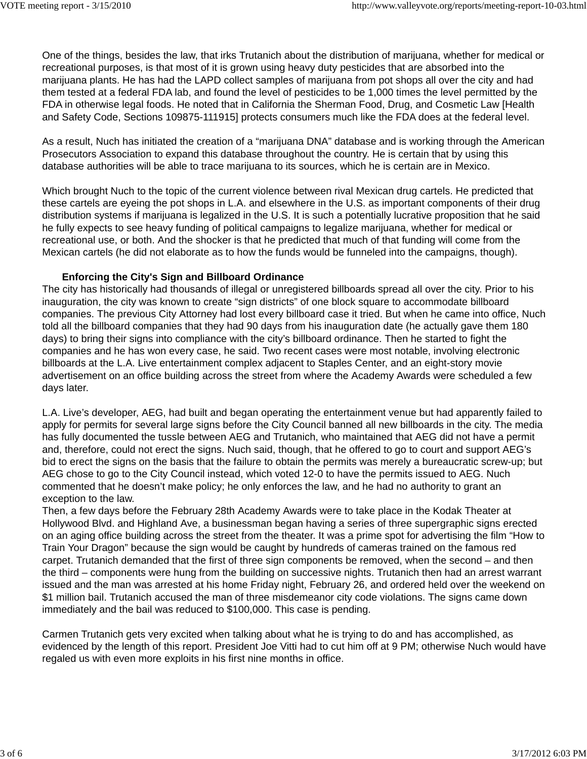One of the things, besides the law, that irks Trutanich about the distribution of marijuana, whether for medical or recreational purposes, is that most of it is grown using heavy duty pesticides that are absorbed into the marijuana plants. He has had the LAPD collect samples of marijuana from pot shops all over the city and had them tested at a federal FDA lab, and found the level of pesticides to be 1,000 times the level permitted by the FDA in otherwise legal foods. He noted that in California the Sherman Food, Drug, and Cosmetic Law [Health and Safety Code, Sections 109875-111915] protects consumers much like the FDA does at the federal level.

As a result, Nuch has initiated the creation of a "marijuana DNA" database and is working through the American Prosecutors Association to expand this database throughout the country. He is certain that by using this database authorities will be able to trace marijuana to its sources, which he is certain are in Mexico.

Which brought Nuch to the topic of the current violence between rival Mexican drug cartels. He predicted that these cartels are eyeing the pot shops in L.A. and elsewhere in the U.S. as important components of their drug distribution systems if marijuana is legalized in the U.S. It is such a potentially lucrative proposition that he said he fully expects to see heavy funding of political campaigns to legalize marijuana, whether for medical or recreational use, or both. And the shocker is that he predicted that much of that funding will come from the Mexican cartels (he did not elaborate as to how the funds would be funneled into the campaigns, though).

#### **Enforcing the City's Sign and Billboard Ordinance**

The city has historically had thousands of illegal or unregistered billboards spread all over the city. Prior to his inauguration, the city was known to create "sign districts" of one block square to accommodate billboard companies. The previous City Attorney had lost every billboard case it tried. But when he came into office, Nuch told all the billboard companies that they had 90 days from his inauguration date (he actually gave them 180 days) to bring their signs into compliance with the city's billboard ordinance. Then he started to fight the companies and he has won every case, he said. Two recent cases were most notable, involving electronic billboards at the L.A. Live entertainment complex adjacent to Staples Center, and an eight-story movie advertisement on an office building across the street from where the Academy Awards were scheduled a few days later.

L.A. Live's developer, AEG, had built and began operating the entertainment venue but had apparently failed to apply for permits for several large signs before the City Council banned all new billboards in the city. The media has fully documented the tussle between AEG and Trutanich, who maintained that AEG did not have a permit and, therefore, could not erect the signs. Nuch said, though, that he offered to go to court and support AEG's bid to erect the signs on the basis that the failure to obtain the permits was merely a bureaucratic screw-up; but AEG chose to go to the City Council instead, which voted 12-0 to have the permits issued to AEG. Nuch commented that he doesn't make policy; he only enforces the law, and he had no authority to grant an exception to the law.

Then, a few days before the February 28th Academy Awards were to take place in the Kodak Theater at Hollywood Blvd. and Highland Ave, a businessman began having a series of three supergraphic signs erected on an aging office building across the street from the theater. It was a prime spot for advertising the film "How to Train Your Dragon" because the sign would be caught by hundreds of cameras trained on the famous red carpet. Trutanich demanded that the first of three sign components be removed, when the second – and then the third – components were hung from the building on successive nights. Trutanich then had an arrest warrant issued and the man was arrested at his home Friday night, February 26, and ordered held over the weekend on \$1 million bail. Trutanich accused the man of three misdemeanor city code violations. The signs came down immediately and the bail was reduced to \$100,000. This case is pending.

Carmen Trutanich gets very excited when talking about what he is trying to do and has accomplished, as evidenced by the length of this report. President Joe Vitti had to cut him off at 9 PM; otherwise Nuch would have regaled us with even more exploits in his first nine months in office.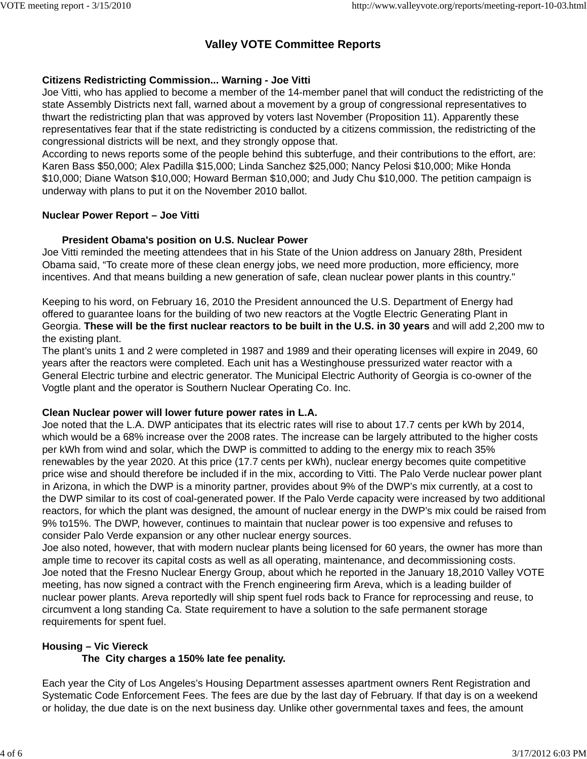# **Valley VOTE Committee Reports**

# **Citizens Redistricting Commission... Warning - Joe Vitti**

Joe Vitti, who has applied to become a member of the 14-member panel that will conduct the redistricting of the state Assembly Districts next fall, warned about a movement by a group of congressional representatives to thwart the redistricting plan that was approved by voters last November (Proposition 11). Apparently these representatives fear that if the state redistricting is conducted by a citizens commission, the redistricting of the congressional districts will be next, and they strongly oppose that.

According to news reports some of the people behind this subterfuge, and their contributions to the effort, are: Karen Bass \$50,000; Alex Padilla \$15,000; Linda Sanchez \$25,000; Nancy Pelosi \$10,000; Mike Honda \$10,000; Diane Watson \$10,000; Howard Berman \$10,000; and Judy Chu \$10,000. The petition campaign is underway with plans to put it on the November 2010 ballot.

## **Nuclear Power Report – Joe Vitti**

## **President Obama's position on U.S. Nuclear Power**

Joe Vitti reminded the meeting attendees that in his State of the Union address on January 28th, President Obama said, "To create more of these clean energy jobs, we need more production, more efficiency, more incentives. And that means building a new generation of safe, clean nuclear power plants in this country."

Keeping to his word, on February 16, 2010 the President announced the U.S. Department of Energy had offered to guarantee loans for the building of two new reactors at the Vogtle Electric Generating Plant in Georgia. **These will be the first nuclear reactors to be built in the U.S. in 30 years** and will add 2,200 mw to the existing plant.

The plant's units 1 and 2 were completed in 1987 and 1989 and their operating licenses will expire in 2049, 60 years after the reactors were completed. Each unit has a Westinghouse pressurized water reactor with a General Electric turbine and electric generator. The Municipal Electric Authority of Georgia is co-owner of the Vogtle plant and the operator is Southern Nuclear Operating Co. Inc.

#### **Clean Nuclear power will lower future power rates in L.A.**

Joe noted that the L.A. DWP anticipates that its electric rates will rise to about 17.7 cents per kWh by 2014, which would be a 68% increase over the 2008 rates. The increase can be largely attributed to the higher costs per kWh from wind and solar, which the DWP is committed to adding to the energy mix to reach 35% renewables by the year 2020. At this price (17.7 cents per kWh), nuclear energy becomes quite competitive price wise and should therefore be included if in the mix, according to Vitti. The Palo Verde nuclear power plant in Arizona, in which the DWP is a minority partner, provides about 9% of the DWP's mix currently, at a cost to the DWP similar to its cost of coal-generated power. If the Palo Verde capacity were increased by two additional reactors, for which the plant was designed, the amount of nuclear energy in the DWP's mix could be raised from 9% to15%. The DWP, however, continues to maintain that nuclear power is too expensive and refuses to consider Palo Verde expansion or any other nuclear energy sources.

Joe also noted, however, that with modern nuclear plants being licensed for 60 years, the owner has more than ample time to recover its capital costs as well as all operating, maintenance, and decommissioning costs. Joe noted that the Fresno Nuclear Energy Group, about which he reported in the January 18,2010 Valley VOTE meeting, has now signed a contract with the French engineering firm Areva, which is a leading builder of nuclear power plants. Areva reportedly will ship spent fuel rods back to France for reprocessing and reuse, to circumvent a long standing Ca. State requirement to have a solution to the safe permanent storage requirements for spent fuel.

# **Housing – Vic Viereck**

#### **The City charges a 150% late fee penality.**

Each year the City of Los Angeles's Housing Department assesses apartment owners Rent Registration and Systematic Code Enforcement Fees. The fees are due by the last day of February. If that day is on a weekend or holiday, the due date is on the next business day. Unlike other governmental taxes and fees, the amount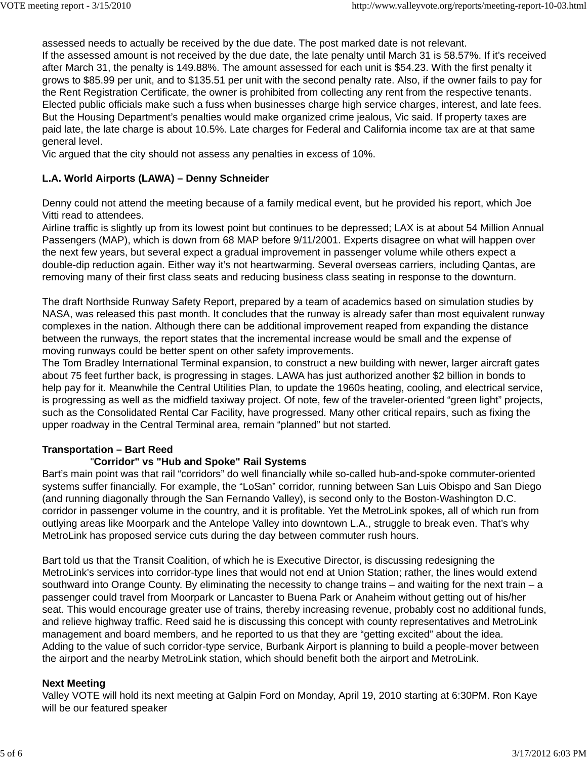assessed needs to actually be received by the due date. The post marked date is not relevant. If the assessed amount is not received by the due date, the late penalty until March 31 is 58.57%. If it's received after March 31, the penalty is 149.88%. The amount assessed for each unit is \$54.23. With the first penalty it grows to \$85.99 per unit, and to \$135.51 per unit with the second penalty rate. Also, if the owner fails to pay for the Rent Registration Certificate, the owner is prohibited from collecting any rent from the respective tenants. Elected public officials make such a fuss when businesses charge high service charges, interest, and late fees. But the Housing Department's penalties would make organized crime jealous, Vic said. If property taxes are paid late, the late charge is about 10.5%. Late charges for Federal and California income tax are at that same general level.

Vic argued that the city should not assess any penalties in excess of 10%.

# **L.A. World Airports (LAWA) – Denny Schneider**

Denny could not attend the meeting because of a family medical event, but he provided his report, which Joe Vitti read to attendees.

Airline traffic is slightly up from its lowest point but continues to be depressed; LAX is at about 54 Million Annual Passengers (MAP), which is down from 68 MAP before 9/11/2001. Experts disagree on what will happen over the next few years, but several expect a gradual improvement in passenger volume while others expect a double-dip reduction again. Either way it's not heartwarming. Several overseas carriers, including Qantas, are removing many of their first class seats and reducing business class seating in response to the downturn.

The draft Northside Runway Safety Report, prepared by a team of academics based on simulation studies by NASA, was released this past month. It concludes that the runway is already safer than most equivalent runway complexes in the nation. Although there can be additional improvement reaped from expanding the distance between the runways, the report states that the incremental increase would be small and the expense of moving runways could be better spent on other safety improvements.

The Tom Bradley International Terminal expansion, to construct a new building with newer, larger aircraft gates about 75 feet further back, is progressing in stages. LAWA has just authorized another \$2 billion in bonds to help pay for it. Meanwhile the Central Utilities Plan, to update the 1960s heating, cooling, and electrical service, is progressing as well as the midfield taxiway project. Of note, few of the traveler-oriented "green light" projects, such as the Consolidated Rental Car Facility, have progressed. Many other critical repairs, such as fixing the upper roadway in the Central Terminal area, remain "planned" but not started.

# **Transportation – Bart Reed**

#### "**Corridor" vs "Hub and Spoke" Rail Systems**

Bart's main point was that rail "corridors" do well financially while so-called hub-and-spoke commuter-oriented systems suffer financially. For example, the "LoSan" corridor, running between San Luis Obispo and San Diego (and running diagonally through the San Fernando Valley), is second only to the Boston-Washington D.C. corridor in passenger volume in the country, and it is profitable. Yet the MetroLink spokes, all of which run from outlying areas like Moorpark and the Antelope Valley into downtown L.A., struggle to break even. That's why MetroLink has proposed service cuts during the day between commuter rush hours.

Bart told us that the Transit Coalition, of which he is Executive Director, is discussing redesigning the MetroLink's services into corridor-type lines that would not end at Union Station; rather, the lines would extend southward into Orange County. By eliminating the necessity to change trains – and waiting for the next train – a passenger could travel from Moorpark or Lancaster to Buena Park or Anaheim without getting out of his/her seat. This would encourage greater use of trains, thereby increasing revenue, probably cost no additional funds, and relieve highway traffic. Reed said he is discussing this concept with county representatives and MetroLink management and board members, and he reported to us that they are "getting excited" about the idea. Adding to the value of such corridor-type service, Burbank Airport is planning to build a people-mover between the airport and the nearby MetroLink station, which should benefit both the airport and MetroLink.

#### **Next Meeting**

Valley VOTE will hold its next meeting at Galpin Ford on Monday, April 19, 2010 starting at 6:30PM. Ron Kaye will be our featured speaker